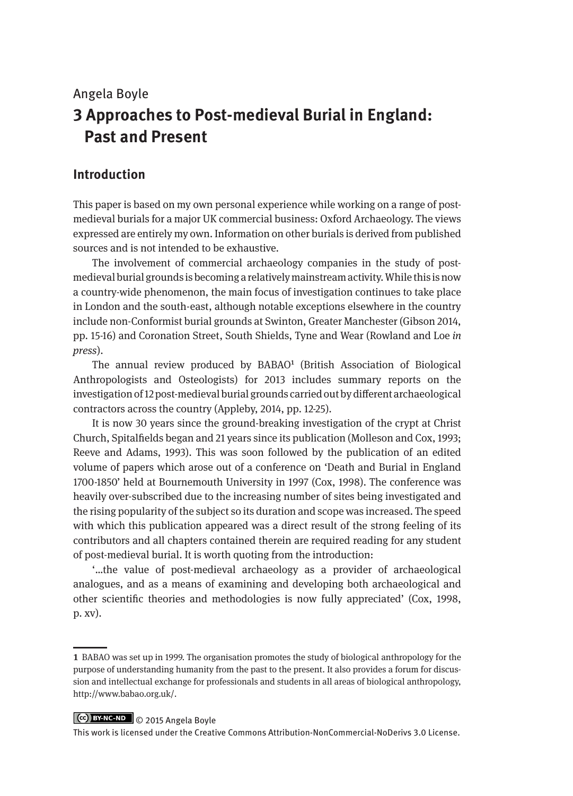# Angela Boyle **3 Approaches to Post-medieval Burial in England: Past and Present**

# **Introduction**

This paper is based on my own personal experience while working on a range of postmedieval burials for a major UK commercial business: Oxford Archaeology. The views expressed are entirely my own. Information on other burials is derived from published sources and is not intended to be exhaustive.

The involvement of commercial archaeology companies in the study of postmedieval burial grounds is becoming a relatively mainstream activity. While this is now a country-wide phenomenon, the main focus of investigation continues to take place in London and the south-east, although notable exceptions elsewhere in the country include non-Conformist burial grounds at Swinton, Greater Manchester (Gibson 2014, pp. 15-16) and Coronation Street, South Shields, Tyne and Wear (Rowland and Loe *in press*).

The annual review produced by  $BABAO<sup>1</sup>$  (British Association of Biological Anthropologists and Osteologists) for 2013 includes summary reports on the investigation of 12 post-medieval burial grounds carried out by different archaeological contractors across the country (Appleby, 2014, pp. 12-25).

It is now 30 years since the ground-breaking investigation of the crypt at Christ Church, Spitalfields began and 21 years since its publication (Molleson and Cox, 1993; Reeve and Adams, 1993). This was soon followed by the publication of an edited volume of papers which arose out of a conference on 'Death and Burial in England 1700-1850' held at Bournemouth University in 1997 (Cox, 1998). The conference was heavily over-subscribed due to the increasing number of sites being investigated and the rising popularity of the subject so its duration and scope was increased. The speed with which this publication appeared was a direct result of the strong feeling of its contributors and all chapters contained therein are required reading for any student of post-medieval burial. It is worth quoting from the introduction:

'…the value of post-medieval archaeology as a provider of archaeological analogues, and as a means of examining and developing both archaeological and other scientific theories and methodologies is now fully appreciated' (Cox, 1998, p. xv).

© 2015 Angela Boyle

This work is licensed under the Creative Commons Attribution-NonCommercial-NoDerivs 3.0 License.

**<sup>1</sup>** BABAO was set up in 1999. The organisation promotes the study of biological anthropology for the purpose of understanding humanity from the past to the present. It also provides a forum for discussion and intellectual exchange for professionals and students in all areas of biological anthropology, http://www.babao.org.uk/.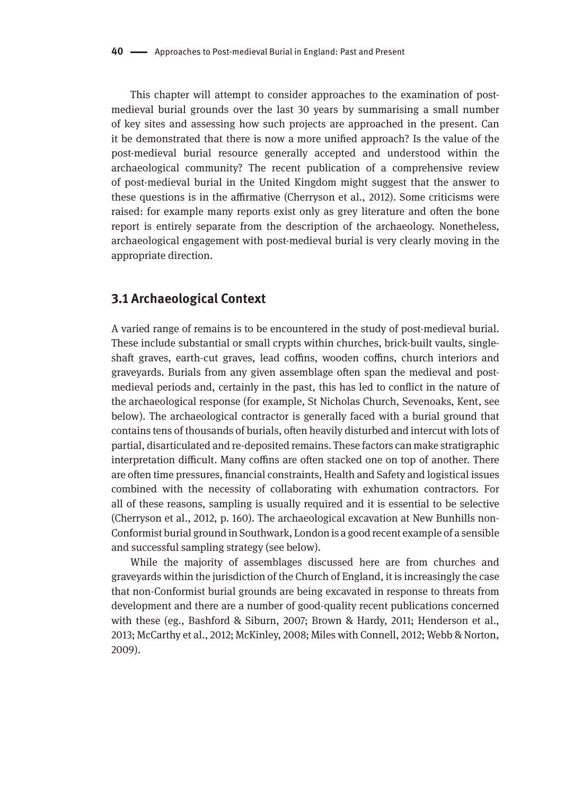This chapter will attempt to consider approaches to the examination of postmedieval burial grounds over the last 30 years by summarising a small number of key sites and assessing how such projects are approached in the present. Can it be demonstrated that there is now a more unified approach? Is the value of the post-medieval burial resource generally accepted and understood within the archaeological community? The recent publication of a comprehensive review of post-medieval burial in the United Kingdom might suggest that the answer to these questions is in the affirmative (Cherryson et al., 2012). Some criticisms were raised: for example many reports exist only as grey literature and often the bone report is entirely separate from the description of the archaeology. Nonetheless, archaeological engagement with post-medieval burial is very clearly moving in the appropriate direction.

# **3.1 Archaeological Context**

A varied range of remains is to be encountered in the study of post-medieval burial. These include substantial or small crypts within churches, brick-built vaults, singleshaft graves, earth-cut graves, lead coffins, wooden coffins, church interiors and graveyards. Burials from any given assemblage often span the medieval and postmedieval periods and, certainly in the past, this has led to conflict in the nature of the archaeological response (for example, St Nicholas Church, Sevenoaks, Kent, see below). The archaeological contractor is generally faced with a burial ground that contains tens of thousands of burials, often heavily disturbed and intercut with lots of partial, disarticulated and re-deposited remains. These factors can make stratigraphic interpretation difficult. Many coffins are often stacked one on top of another. There are often time pressures, financial constraints, Health and Safety and logistical issues combined with the necessity of collaborating with exhumation contractors. For all of these reasons, sampling is usually required and it is essential to be selective (Cherryson et al., 2012, p. 160). The archaeological excavation at New Bunhills non-Conformist burial ground in Southwark, London is a good recent example of a sensible and successful sampling strategy (see below).

While the majority of assemblages discussed here are from churches and graveyards within the jurisdiction of the Church of England, it is increasingly the case that non-Conformist burial grounds are being excavated in response to threats from development and there are a number of good-quality recent publications concerned with these (eg., Bashford & Siburn, 2007; Brown & Hardy, 2011; Henderson et al., 2013; McCarthy et al., 2012; McKinley, 2008; Miles with Connell, 2012; Webb & Norton, 2009).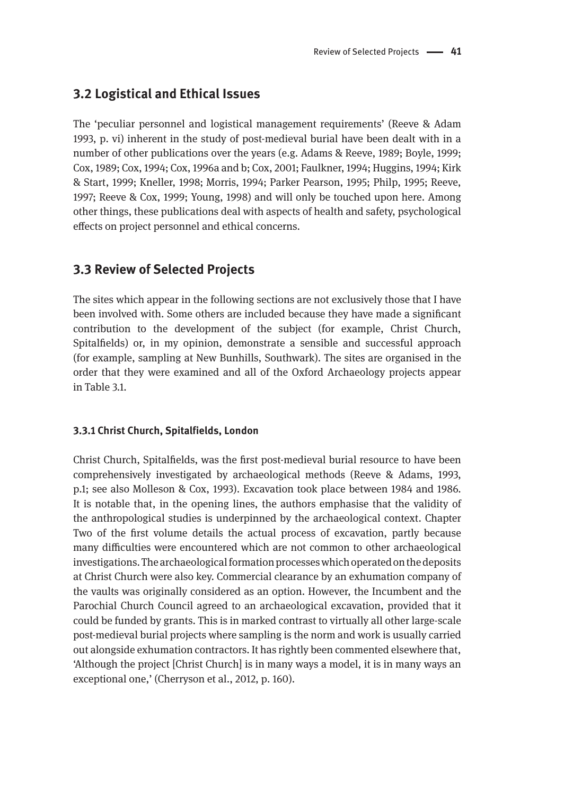# **3.2 Logistical and Ethical Issues**

The 'peculiar personnel and logistical management requirements' (Reeve & Adam 1993, p. vi) inherent in the study of post-medieval burial have been dealt with in a number of other publications over the years (e.g. Adams & Reeve, 1989; Boyle, 1999; Cox, 1989; Cox, 1994; Cox, 1996a and b; Cox, 2001; Faulkner, 1994; Huggins, 1994; Kirk & Start, 1999; Kneller, 1998; Morris, 1994; Parker Pearson, 1995; Philp, 1995; Reeve, 1997; Reeve & Cox, 1999; Young, 1998) and will only be touched upon here. Among other things, these publications deal with aspects of health and safety, psychological effects on project personnel and ethical concerns.

# **3.3 Review of Selected Projects**

The sites which appear in the following sections are not exclusively those that I have been involved with. Some others are included because they have made a significant contribution to the development of the subject (for example, Christ Church, Spitalfields) or, in my opinion, demonstrate a sensible and successful approach (for example, sampling at New Bunhills, Southwark). The sites are organised in the order that they were examined and all of the Oxford Archaeology projects appear in Table 3.1.

# **3.3.1 Christ Church, Spitalfields, London**

Christ Church, Spitalfields, was the first post-medieval burial resource to have been comprehensively investigated by archaeological methods (Reeve & Adams, 1993, p.1; see also Molleson & Cox, 1993). Excavation took place between 1984 and 1986. It is notable that, in the opening lines, the authors emphasise that the validity of the anthropological studies is underpinned by the archaeological context. Chapter Two of the first volume details the actual process of excavation, partly because many difficulties were encountered which are not common to other archaeological investigations. The archaeological formation processes which operated on the deposits at Christ Church were also key. Commercial clearance by an exhumation company of the vaults was originally considered as an option. However, the Incumbent and the Parochial Church Council agreed to an archaeological excavation, provided that it could be funded by grants. This is in marked contrast to virtually all other large-scale post-medieval burial projects where sampling is the norm and work is usually carried out alongside exhumation contractors. It has rightly been commented elsewhere that, 'Although the project [Christ Church] is in many ways a model, it is in many ways an exceptional one,' (Cherryson et al., 2012, p. 160).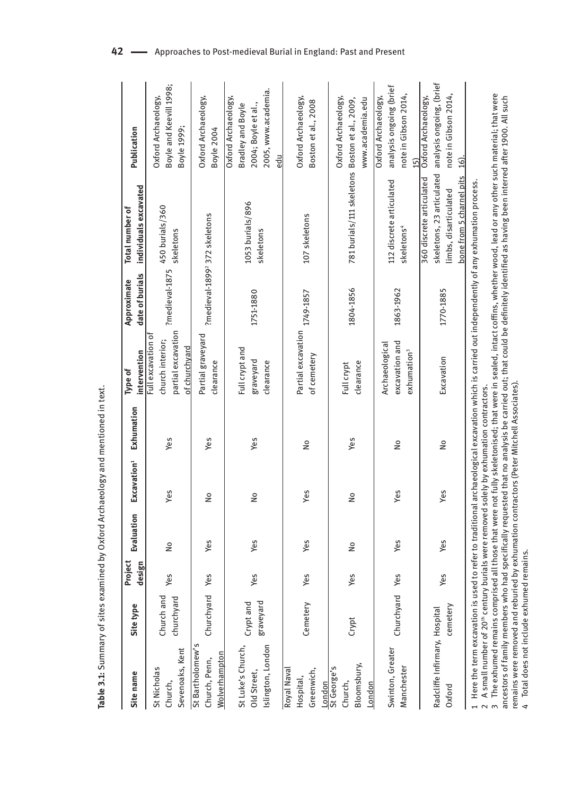| Site name                                                                                                                          | Site type                | Project<br>design | Evaluation    | Excavation <sup>1</sup> | Exhumation    | intervention<br>Type of                                                       | date of burials<br>Approximate            | individuals excavated<br><b>Total number of</b>                                                                                                                                                                                                                                                 | Publication                                                                                   |
|------------------------------------------------------------------------------------------------------------------------------------|--------------------------|-------------------|---------------|-------------------------|---------------|-------------------------------------------------------------------------------|-------------------------------------------|-------------------------------------------------------------------------------------------------------------------------------------------------------------------------------------------------------------------------------------------------------------------------------------------------|-----------------------------------------------------------------------------------------------|
| Sevenoaks, Kent<br>St Nicholas<br>Church,                                                                                          | Church and<br>churchyard | Yes               | $\frac{1}{2}$ | Yes                     | Yes           | partial excavation<br>Full excavation of<br>church interior;<br>of churchyard | ?medieval-1875                            | 450 burials/360<br>skeletons                                                                                                                                                                                                                                                                    | Boyle and Keevill 1998;<br>Oxford Archaeology,<br>Boyle 1999;                                 |
| St Bartholomew's<br>Wolverhampton<br>Church, Penn,                                                                                 | Churchyard Yes           |                   | Yes           | $\frac{1}{2}$           | Yes           | Partial graveyard<br>clearance                                                | ?medieval-1899 <sup>2</sup> 372 skeletons |                                                                                                                                                                                                                                                                                                 | Oxford Archaeology,<br>Boyle 2004                                                             |
| St Luke's Church,<br>Islington, London<br>Old Street,                                                                              | Crypt and<br>graveyard   | Yes               | Yes           | $\frac{1}{2}$           | Yes           | Full crypt and<br>graveyard<br>clearance                                      | 1751-1880                                 | 1053 burials/896<br>skeletons                                                                                                                                                                                                                                                                   | 2005, www.academia.<br>Oxford Archaeology,<br>2004; Boyle et al.,<br>Bradley and Boyle<br>edu |
| Greenwich,<br>Royal Naval<br>Hospital,<br>London                                                                                   | Cemetery                 | Yes               | Yes           | Yes                     | $\frac{1}{2}$ | Partial excavation<br>of cemetery                                             | 1749-1857                                 | 107 skeletons                                                                                                                                                                                                                                                                                   | Oxford Archaeology,<br>Boston et al., 2008                                                    |
| Bloomsbury,<br>St George's<br>Church,<br>London                                                                                    | Crypt                    | Yes               | $\frac{1}{2}$ | $\frac{1}{2}$           | Yes           | clearance<br>Full crypt                                                       | 1804-1856                                 | 781 burials/111 skeletons Boston et al., 2009,                                                                                                                                                                                                                                                  | Oxford Archaeology,<br>www.academia.edu                                                       |
| Swinton, Greater<br>Manchester                                                                                                     | Churchyard Yes           |                   | Yes           | Yes                     | $\frac{1}{2}$ | excavation and<br>Archaeological<br>exhumation <sup>3</sup>                   | 1863-1962                                 | 112 discrete articulated<br>skeletons <sup>4</sup>                                                                                                                                                                                                                                              | analysis ongoing (brief<br>note in Gibson 2014,<br>Oxford Archaeology,<br>15                  |
| Radcliffe Infirmary, Hospital<br>Oxford                                                                                            | cemetery                 | Yes               | Yes           | Yes                     | $\frac{1}{2}$ | Excavation                                                                    | 1770-1885                                 | skeletons, 23 articulated analysis ongoing, (brief<br>bone from 5 charnel pits<br>360 discrete articulated<br>limbs, disarticulated                                                                                                                                                             | note in Gibson 2014,<br>Oxford Archaeology,<br>16).                                           |
| A small number of 20 <sup>th</sup> century burials were removed solely by exhumation contractors.<br>The exhumed remains comprised |                          |                   |               |                         |               |                                                                               |                                           | I all those that were not fully skeletonised; that were in sealed, intact coffins, whether wood, lead or any other such material; that were<br>Here the term excavation is used to refer to traditional archaeological excavation which is carried out independently of any exhumation process. |                                                                                               |

Table 3.1: Summary of sites examined by Oxford Archaeology and mentioned in text. **Table 3.1:** Summary of sites examined by Oxford Archaeology and mentioned in text.

3 Ine exnumea remains comprised au triose mat were not rully skeletonised; triat were in sealed, intact comins, whether wood, lead or any other succi material; that were<br>ancestors of family members who had specifically remains were removed and reburied by exhumation contractors (Peter Mitchell Associates). 4 Total does not include exhumed remains.

ancestors of family members who had specifically requested that no analysis be carried out; that could be definitely identified as having been interred after 1900. All such

42 **-** Approaches to Post-medieval Burial in England: Past and Present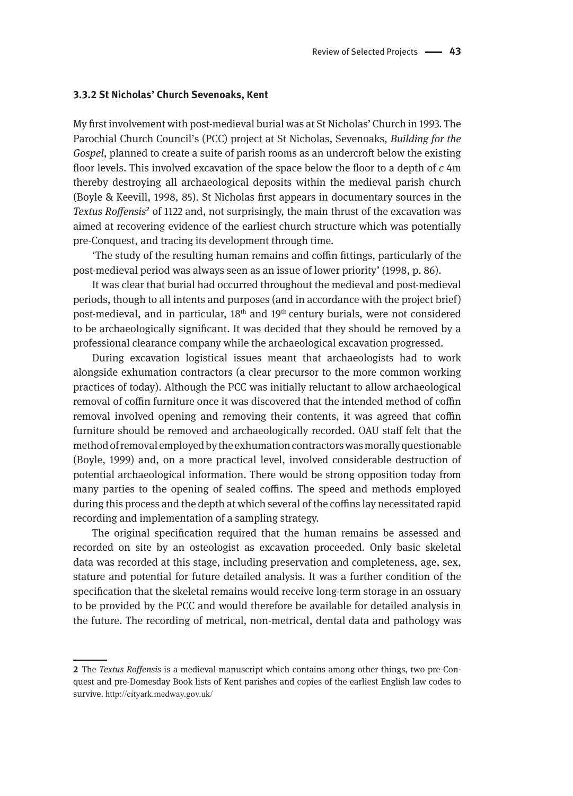## **3.3.2 St Nicholas' Church Sevenoaks, Kent**

My first involvement with post-medieval burial was at St Nicholas' Church in 1993. The Parochial Church Council's (PCC) project at St Nicholas, Sevenoaks, *Building for the Gospel*, planned to create a suite of parish rooms as an undercroft below the existing floor levels. This involved excavation of the space below the floor to a depth of *c* 4m thereby destroying all archaeological deposits within the medieval parish church (Boyle & Keevill, 1998, 85). St Nicholas first appears in documentary sources in the *Textus Roffensis<sup>2</sup>* of 1122 and, not surprisingly, the main thrust of the excavation was aimed at recovering evidence of the earliest church structure which was potentially pre-Conquest, and tracing its development through time*.* 

'The study of the resulting human remains and coffin fittings, particularly of the post-medieval period was always seen as an issue of lower priority' (1998, p. 86).

It was clear that burial had occurred throughout the medieval and post-medieval periods, though to all intents and purposes (and in accordance with the project brief) post-medieval, and in particular, 18<sup>th</sup> and 19<sup>th</sup> century burials, were not considered to be archaeologically significant. It was decided that they should be removed by a professional clearance company while the archaeological excavation progressed.

During excavation logistical issues meant that archaeologists had to work alongside exhumation contractors (a clear precursor to the more common working practices of today). Although the PCC was initially reluctant to allow archaeological removal of coffin furniture once it was discovered that the intended method of coffin removal involved opening and removing their contents, it was agreed that coffin furniture should be removed and archaeologically recorded. OAU staff felt that the method of removal employed by the exhumation contractors was morally questionable (Boyle, 1999) and, on a more practical level, involved considerable destruction of potential archaeological information. There would be strong opposition today from many parties to the opening of sealed coffins. The speed and methods employed during this process and the depth at which several of the coffins lay necessitated rapid recording and implementation of a sampling strategy.

The original specification required that the human remains be assessed and recorded on site by an osteologist as excavation proceeded. Only basic skeletal data was recorded at this stage, including preservation and completeness, age, sex, stature and potential for future detailed analysis. It was a further condition of the specification that the skeletal remains would receive long-term storage in an ossuary to be provided by the PCC and would therefore be available for detailed analysis in the future. The recording of metrical, non-metrical, dental data and pathology was

**<sup>2</sup>** The *Textus Roffensis* is a medieval manuscript which contains among other things, two pre-Conquest and pre-Domesday Book lists of Kent parishes and copies of the earliest English law codes to survive. http://cityark.medway.gov.uk/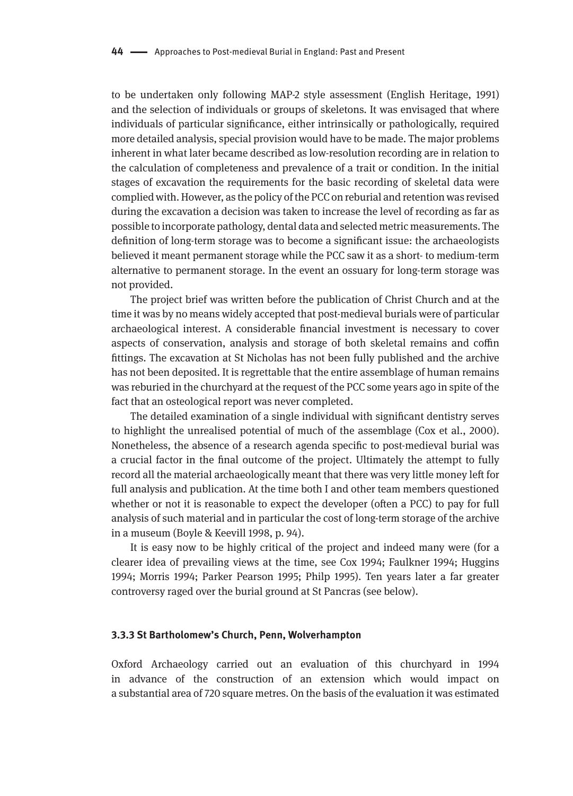to be undertaken only following MAP-2 style assessment (English Heritage, 1991) and the selection of individuals or groups of skeletons. It was envisaged that where individuals of particular significance, either intrinsically or pathologically, required more detailed analysis, special provision would have to be made. The major problems inherent in what later became described as low-resolution recording are in relation to the calculation of completeness and prevalence of a trait or condition. In the initial stages of excavation the requirements for the basic recording of skeletal data were complied with. However, as the policy of the PCC on reburial and retention was revised during the excavation a decision was taken to increase the level of recording as far as possible to incorporate pathology, dental data and selected metric measurements. The definition of long-term storage was to become a significant issue: the archaeologists believed it meant permanent storage while the PCC saw it as a short- to medium-term alternative to permanent storage. In the event an ossuary for long-term storage was not provided.

The project brief was written before the publication of Christ Church and at the time it was by no means widely accepted that post-medieval burials were of particular archaeological interest. A considerable financial investment is necessary to cover aspects of conservation, analysis and storage of both skeletal remains and coffin fittings. The excavation at St Nicholas has not been fully published and the archive has not been deposited. It is regrettable that the entire assemblage of human remains was reburied in the churchyard at the request of the PCC some years ago in spite of the fact that an osteological report was never completed.

The detailed examination of a single individual with significant dentistry serves to highlight the unrealised potential of much of the assemblage (Cox et al., 2000). Nonetheless, the absence of a research agenda specific to post-medieval burial was a crucial factor in the final outcome of the project. Ultimately the attempt to fully record all the material archaeologically meant that there was very little money left for full analysis and publication. At the time both I and other team members questioned whether or not it is reasonable to expect the developer (often a PCC) to pay for full analysis of such material and in particular the cost of long-term storage of the archive in a museum (Boyle & Keevill 1998, p. 94).

It is easy now to be highly critical of the project and indeed many were (for a clearer idea of prevailing views at the time, see Cox 1994; Faulkner 1994; Huggins 1994; Morris 1994; Parker Pearson 1995; Philp 1995). Ten years later a far greater controversy raged over the burial ground at St Pancras (see below).

# **3.3.3 St Bartholomew's Church, Penn, Wolverhampton**

Oxford Archaeology carried out an evaluation of this churchyard in 1994 in advance of the construction of an extension which would impact on a substantial area of 720 square metres. On the basis of the evaluation it was estimated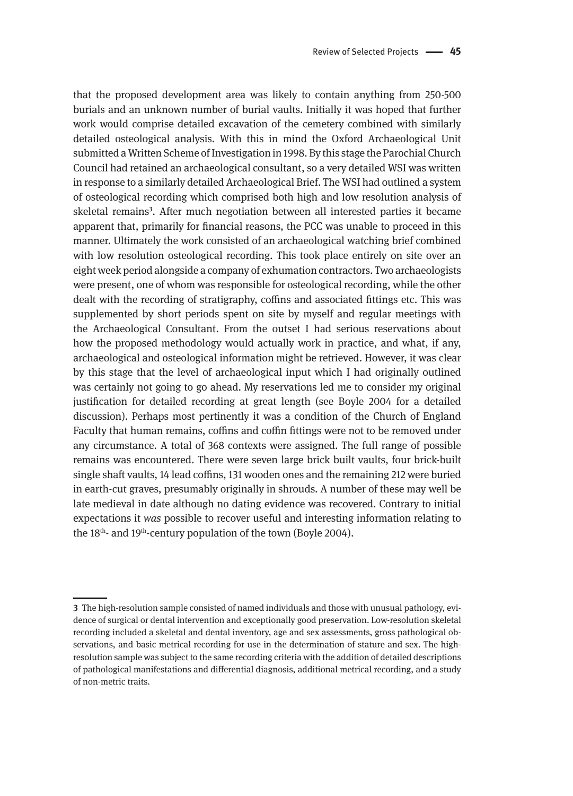that the proposed development area was likely to contain anything from 250-500 burials and an unknown number of burial vaults. Initially it was hoped that further work would comprise detailed excavation of the cemetery combined with similarly detailed osteological analysis. With this in mind the Oxford Archaeological Unit submitted a Written Scheme of Investigation in 1998. By this stage the Parochial Church Council had retained an archaeological consultant, so a very detailed WSI was written in response to a similarly detailed Archaeological Brief. The WSI had outlined a system of osteological recording which comprised both high and low resolution analysis of skeletal remains3. After much negotiation between all interested parties it became apparent that, primarily for financial reasons, the PCC was unable to proceed in this manner. Ultimately the work consisted of an archaeological watching brief combined with low resolution osteological recording. This took place entirely on site over an eight week period alongside a company of exhumation contractors. Two archaeologists were present, one of whom was responsible for osteological recording, while the other dealt with the recording of stratigraphy, coffins and associated fittings etc. This was supplemented by short periods spent on site by myself and regular meetings with the Archaeological Consultant. From the outset I had serious reservations about how the proposed methodology would actually work in practice, and what, if any, archaeological and osteological information might be retrieved. However, it was clear by this stage that the level of archaeological input which I had originally outlined was certainly not going to go ahead. My reservations led me to consider my original justification for detailed recording at great length (see Boyle 2004 for a detailed discussion). Perhaps most pertinently it was a condition of the Church of England Faculty that human remains, coffins and coffin fittings were not to be removed under any circumstance. A total of 368 contexts were assigned. The full range of possible remains was encountered. There were seven large brick built vaults, four brick-built single shaft vaults, 14 lead coffins, 131 wooden ones and the remaining 212 were buried in earth-cut graves, presumably originally in shrouds. A number of these may well be late medieval in date although no dating evidence was recovered. Contrary to initial expectations it *was* possible to recover useful and interesting information relating to the 18th- and 19th-century population of the town (Boyle 2004).

**<sup>3</sup>** The high-resolution sample consisted of named individuals and those with unusual pathology, evidence of surgical or dental intervention and exceptionally good preservation. Low-resolution skeletal recording included a skeletal and dental inventory, age and sex assessments, gross pathological observations, and basic metrical recording for use in the determination of stature and sex. The highresolution sample was subject to the same recording criteria with the addition of detailed descriptions of pathological manifestations and differential diagnosis, additional metrical recording, and a study of non-metric traits.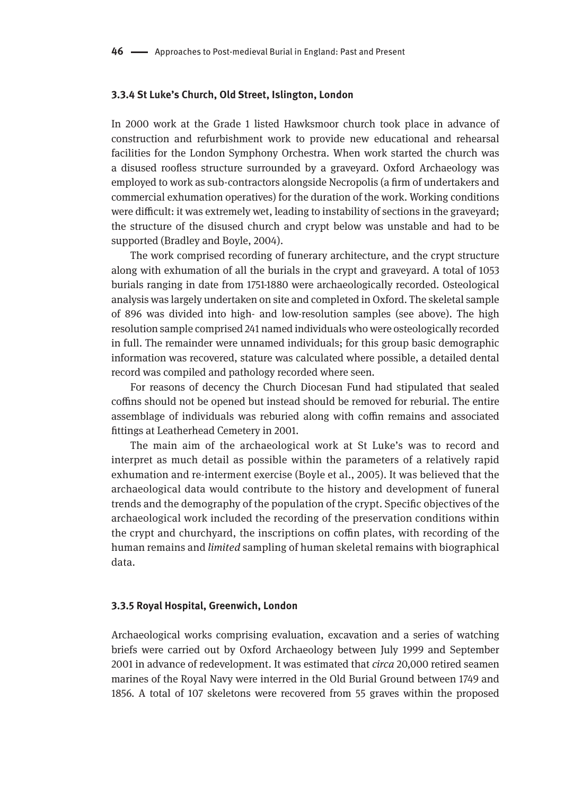## **3.3.4 St Luke's Church, Old Street, Islington, London**

In 2000 work at the Grade 1 listed Hawksmoor church took place in advance of construction and refurbishment work to provide new educational and rehearsal facilities for the London Symphony Orchestra. When work started the church was a disused roofless structure surrounded by a graveyard. Oxford Archaeology was employed to work as sub-contractors alongside Necropolis (a firm of undertakers and commercial exhumation operatives) for the duration of the work. Working conditions were difficult: it was extremely wet, leading to instability of sections in the graveyard; the structure of the disused church and crypt below was unstable and had to be supported (Bradley and Boyle, 2004).

The work comprised recording of funerary architecture, and the crypt structure along with exhumation of all the burials in the crypt and graveyard. A total of 1053 burials ranging in date from 1751-1880 were archaeologically recorded. Osteological analysis was largely undertaken on site and completed in Oxford. The skeletal sample of 896 was divided into high- and low-resolution samples (see above). The high resolution sample comprised 241 named individuals who were osteologically recorded in full. The remainder were unnamed individuals; for this group basic demographic information was recovered, stature was calculated where possible, a detailed dental record was compiled and pathology recorded where seen.

For reasons of decency the Church Diocesan Fund had stipulated that sealed coffins should not be opened but instead should be removed for reburial. The entire assemblage of individuals was reburied along with coffin remains and associated fittings at Leatherhead Cemetery in 2001.

The main aim of the archaeological work at St Luke's was to record and interpret as much detail as possible within the parameters of a relatively rapid exhumation and re-interment exercise (Boyle et al., 2005). It was believed that the archaeological data would contribute to the history and development of funeral trends and the demography of the population of the crypt. Specific objectives of the archaeological work included the recording of the preservation conditions within the crypt and churchyard, the inscriptions on coffin plates, with recording of the human remains and *limited* sampling of human skeletal remains with biographical data.

#### **3.3.5 Royal Hospital, Greenwich, London**

Archaeological works comprising evaluation, excavation and a series of watching briefs were carried out by Oxford Archaeology between July 1999 and September 2001 in advance of redevelopment. It was estimated that *circa* 20,000 retired seamen marines of the Royal Navy were interred in the Old Burial Ground between 1749 and 1856. A total of 107 skeletons were recovered from 55 graves within the proposed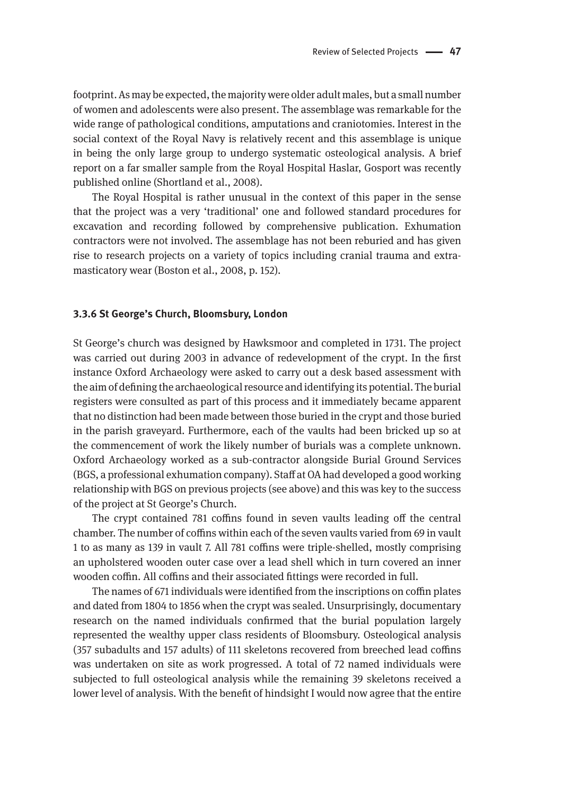footprint. As may be expected, the majority were older adult males, but a small number of women and adolescents were also present. The assemblage was remarkable for the wide range of pathological conditions, amputations and craniotomies. Interest in the social context of the Royal Navy is relatively recent and this assemblage is unique in being the only large group to undergo systematic osteological analysis. A brief report on a far smaller sample from the Royal Hospital Haslar, Gosport was recently published online (Shortland et al., 2008).

The Royal Hospital is rather unusual in the context of this paper in the sense that the project was a very 'traditional' one and followed standard procedures for excavation and recording followed by comprehensive publication. Exhumation contractors were not involved. The assemblage has not been reburied and has given rise to research projects on a variety of topics including cranial trauma and extramasticatory wear (Boston et al., 2008, p. 152).

## **3.3.6 St George's Church, Bloomsbury, London**

St George's church was designed by Hawksmoor and completed in 1731. The project was carried out during 2003 in advance of redevelopment of the crypt. In the first instance Oxford Archaeology were asked to carry out a desk based assessment with the aim of defining the archaeological resource and identifying its potential. The burial registers were consulted as part of this process and it immediately became apparent that no distinction had been made between those buried in the crypt and those buried in the parish graveyard. Furthermore, each of the vaults had been bricked up so at the commencement of work the likely number of burials was a complete unknown. Oxford Archaeology worked as a sub-contractor alongside Burial Ground Services (BGS, a professional exhumation company). Staff at OA had developed a good working relationship with BGS on previous projects (see above) and this was key to the success of the project at St George's Church.

The crypt contained 781 coffins found in seven vaults leading off the central chamber. The number of coffins within each of the seven vaults varied from 69 in vault 1 to as many as 139 in vault 7. All 781 coffins were triple-shelled, mostly comprising an upholstered wooden outer case over a lead shell which in turn covered an inner wooden coffin. All coffins and their associated fittings were recorded in full.

The names of 671 individuals were identified from the inscriptions on coffin plates and dated from 1804 to 1856 when the crypt was sealed. Unsurprisingly, documentary research on the named individuals confirmed that the burial population largely represented the wealthy upper class residents of Bloomsbury. Osteological analysis (357 subadults and 157 adults) of 111 skeletons recovered from breeched lead coffins was undertaken on site as work progressed. A total of 72 named individuals were subjected to full osteological analysis while the remaining 39 skeletons received a lower level of analysis. With the benefit of hindsight I would now agree that the entire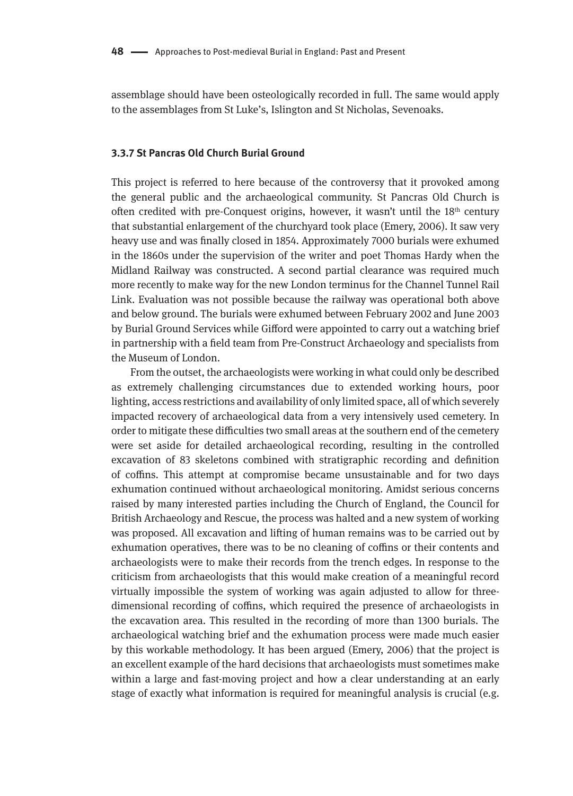assemblage should have been osteologically recorded in full. The same would apply to the assemblages from St Luke's, Islington and St Nicholas, Sevenoaks.

# **3.3.7 St Pancras Old Church Burial Ground**

This project is referred to here because of the controversy that it provoked among the general public and the archaeological community. St Pancras Old Church is often credited with pre-Conquest origins, however, it wasn't until the  $18<sup>th</sup>$  century that substantial enlargement of the churchyard took place (Emery, 2006). It saw very heavy use and was finally closed in 1854. Approximately 7000 burials were exhumed in the 1860s under the supervision of the writer and poet Thomas Hardy when the Midland Railway was constructed. A second partial clearance was required much more recently to make way for the new London terminus for the Channel Tunnel Rail Link. Evaluation was not possible because the railway was operational both above and below ground. The burials were exhumed between February 2002 and June 2003 by Burial Ground Services while Gifford were appointed to carry out a watching brief in partnership with a field team from Pre-Construct Archaeology and specialists from the Museum of London.

From the outset, the archaeologists were working in what could only be described as extremely challenging circumstances due to extended working hours, poor lighting, access restrictions and availability of only limited space, all of which severely impacted recovery of archaeological data from a very intensively used cemetery. In order to mitigate these difficulties two small areas at the southern end of the cemetery were set aside for detailed archaeological recording, resulting in the controlled excavation of 83 skeletons combined with stratigraphic recording and definition of coffins. This attempt at compromise became unsustainable and for two days exhumation continued without archaeological monitoring. Amidst serious concerns raised by many interested parties including the Church of England, the Council for British Archaeology and Rescue, the process was halted and a new system of working was proposed. All excavation and lifting of human remains was to be carried out by exhumation operatives, there was to be no cleaning of coffins or their contents and archaeologists were to make their records from the trench edges. In response to the criticism from archaeologists that this would make creation of a meaningful record virtually impossible the system of working was again adjusted to allow for threedimensional recording of coffins, which required the presence of archaeologists in the excavation area. This resulted in the recording of more than 1300 burials. The archaeological watching brief and the exhumation process were made much easier by this workable methodology. It has been argued (Emery, 2006) that the project is an excellent example of the hard decisions that archaeologists must sometimes make within a large and fast-moving project and how a clear understanding at an early stage of exactly what information is required for meaningful analysis is crucial (e.g.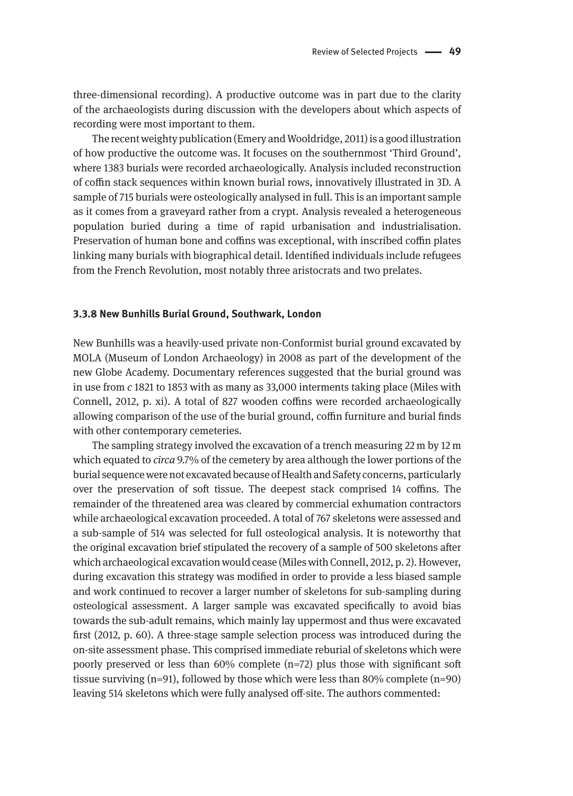three-dimensional recording). A productive outcome was in part due to the clarity of the archaeologists during discussion with the developers about which aspects of recording were most important to them.

The recent weighty publication (Emery and Wooldridge, 2011) is a good illustration of how productive the outcome was. It focuses on the southernmost 'Third Ground', where 1383 burials were recorded archaeologically. Analysis included reconstruction of coffin stack sequences within known burial rows, innovatively illustrated in 3D. A sample of 715 burials were osteologically analysed in full. This is an important sample as it comes from a graveyard rather from a crypt. Analysis revealed a heterogeneous population buried during a time of rapid urbanisation and industrialisation. Preservation of human bone and coffins was exceptional, with inscribed coffin plates linking many burials with biographical detail. Identified individuals include refugees from the French Revolution, most notably three aristocrats and two prelates.

# **3.3.8 New Bunhills Burial Ground, Southwark, London**

New Bunhills was a heavily-used private non-Conformist burial ground excavated by MOLA (Museum of London Archaeology) in 2008 as part of the development of the new Globe Academy. Documentary references suggested that the burial ground was in use from *c* 1821 to 1853 with as many as 33,000 interments taking place (Miles with Connell, 2012, p. xi). A total of 827 wooden coffins were recorded archaeologically allowing comparison of the use of the burial ground, coffin furniture and burial finds with other contemporary cemeteries.

The sampling strategy involved the excavation of a trench measuring 22 m by 12 m which equated to *circa* 9.7% of the cemetery by area although the lower portions of the burial sequence were not excavated because of Health and Safety concerns, particularly over the preservation of soft tissue. The deepest stack comprised 14 coffins. The remainder of the threatened area was cleared by commercial exhumation contractors while archaeological excavation proceeded. A total of 767 skeletons were assessed and a sub-sample of 514 was selected for full osteological analysis. It is noteworthy that the original excavation brief stipulated the recovery of a sample of 500 skeletons after which archaeological excavation would cease (Miles with Connell, 2012, p. 2). However, during excavation this strategy was modified in order to provide a less biased sample and work continued to recover a larger number of skeletons for sub-sampling during osteological assessment. A larger sample was excavated specifically to avoid bias towards the sub-adult remains, which mainly lay uppermost and thus were excavated first (2012*,* p. 60). A three-stage sample selection process was introduced during the on-site assessment phase. This comprised immediate reburial of skeletons which were poorly preserved or less than  $60\%$  complete (n=72) plus those with significant soft tissue surviving  $(n=91)$ , followed by those which were less than 80% complete  $(n=90)$ leaving 514 skeletons which were fully analysed off-site. The authors commented: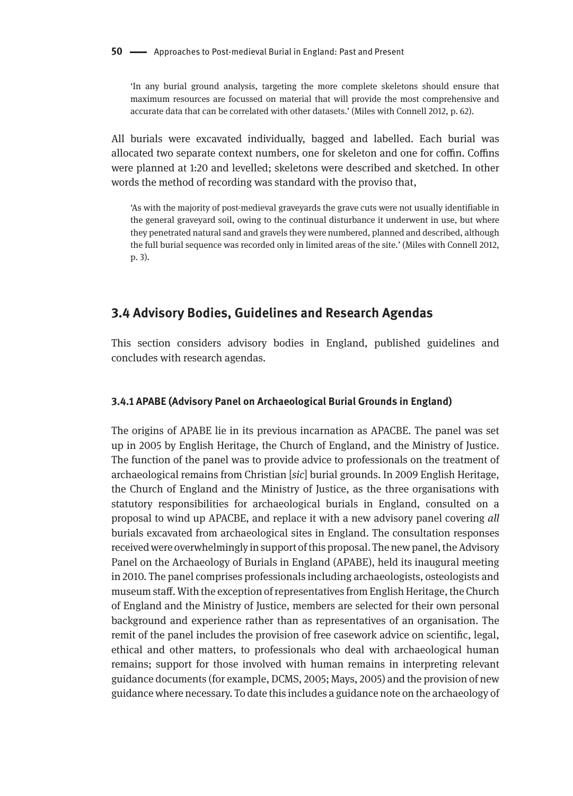**50 •** Approaches to Post-medieval Burial in England: Past and Present

'In any burial ground analysis, targeting the more complete skeletons should ensure that maximum resources are focussed on material that will provide the most comprehensive and accurate data that can be correlated with other datasets.' (Miles with Connell 2012, p. 62).

All burials were excavated individually, bagged and labelled. Each burial was allocated two separate context numbers, one for skeleton and one for coffin. Coffins were planned at 1:20 and levelled; skeletons were described and sketched. In other words the method of recording was standard with the proviso that,

'As with the majority of post-medieval graveyards the grave cuts were not usually identifiable in the general graveyard soil, owing to the continual disturbance it underwent in use, but where they penetrated natural sand and gravels they were numbered, planned and described, although the full burial sequence was recorded only in limited areas of the site.' (Miles with Connell 2012, p. 3).

# **3.4 Advisory Bodies, Guidelines and Research Agendas**

This section considers advisory bodies in England, published guidelines and concludes with research agendas.

# **3.4.1 APABE (Advisory Panel on Archaeological Burial Grounds in England)**

The origins of APABE lie in its previous incarnation as APACBE. The panel was set up in 2005 by English Heritage, the Church of England, and the Ministry of Justice. The function of the panel was to provide advice to professionals on the treatment of archaeological remains from Christian [*sic*] burial grounds. In 2009 English Heritage, the Church of England and the Ministry of Justice, as the three organisations with statutory responsibilities for archaeological burials in England, consulted on a proposal to wind up APACBE, and replace it with a new advisory panel covering *all* burials excavated from archaeological sites in England. The consultation responses received were overwhelmingly in support of this proposal. The new panel, the Advisory Panel on the Archaeology of Burials in England (APABE), held its inaugural meeting in 2010. The panel comprises professionals including archaeologists, osteologists and museum staff. With the exception of representatives from English Heritage, the Church of England and the Ministry of Justice, members are selected for their own personal background and experience rather than as representatives of an organisation. The remit of the panel includes the provision of free casework advice on scientific, legal, ethical and other matters, to professionals who deal with archaeological human remains; support for those involved with human remains in interpreting relevant guidance documents (for example, DCMS, 2005; Mays, 2005) and the provision of new guidance where necessary. To date this includes a guidance note on the archaeology of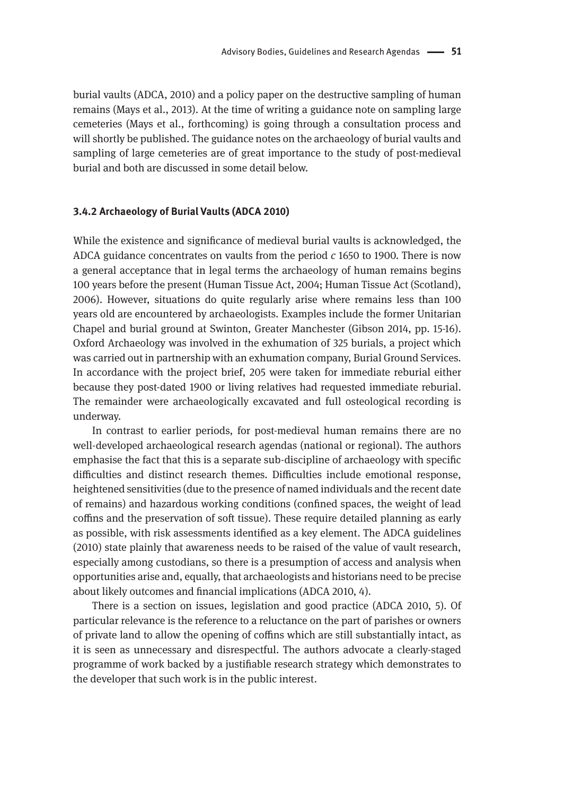burial vaults (ADCA, 2010) and a policy paper on the destructive sampling of human remains (Mays et al., 2013). At the time of writing a guidance note on sampling large cemeteries (Mays et al., forthcoming) is going through a consultation process and will shortly be published. The guidance notes on the archaeology of burial vaults and sampling of large cemeteries are of great importance to the study of post-medieval burial and both are discussed in some detail below.

## **3.4.2 Archaeology of Burial Vaults (ADCA 2010)**

While the existence and significance of medieval burial vaults is acknowledged, the ADCA guidance concentrates on vaults from the period *c* 1650 to 1900. There is now a general acceptance that in legal terms the archaeology of human remains begins 100 years before the present (Human Tissue Act, 2004; Human Tissue Act (Scotland), 2006). However, situations do quite regularly arise where remains less than 100 years old are encountered by archaeologists. Examples include the former Unitarian Chapel and burial ground at Swinton, Greater Manchester (Gibson 2014, pp. 15-16). Oxford Archaeology was involved in the exhumation of 325 burials, a project which was carried out in partnership with an exhumation company, Burial Ground Services. In accordance with the project brief, 205 were taken for immediate reburial either because they post-dated 1900 or living relatives had requested immediate reburial. The remainder were archaeologically excavated and full osteological recording is underway.

In contrast to earlier periods, for post-medieval human remains there are no well-developed archaeological research agendas (national or regional). The authors emphasise the fact that this is a separate sub-discipline of archaeology with specific difficulties and distinct research themes. Difficulties include emotional response, heightened sensitivities (due to the presence of named individuals and the recent date of remains) and hazardous working conditions (confined spaces, the weight of lead coffins and the preservation of soft tissue). These require detailed planning as early as possible, with risk assessments identified as a key element. The ADCA guidelines (2010) state plainly that awareness needs to be raised of the value of vault research, especially among custodians, so there is a presumption of access and analysis when opportunities arise and, equally, that archaeologists and historians need to be precise about likely outcomes and financial implications (ADCA 2010, 4).

There is a section on issues, legislation and good practice (ADCA 2010, 5). Of particular relevance is the reference to a reluctance on the part of parishes or owners of private land to allow the opening of coffins which are still substantially intact, as it is seen as unnecessary and disrespectful. The authors advocate a clearly-staged programme of work backed by a justifiable research strategy which demonstrates to the developer that such work is in the public interest.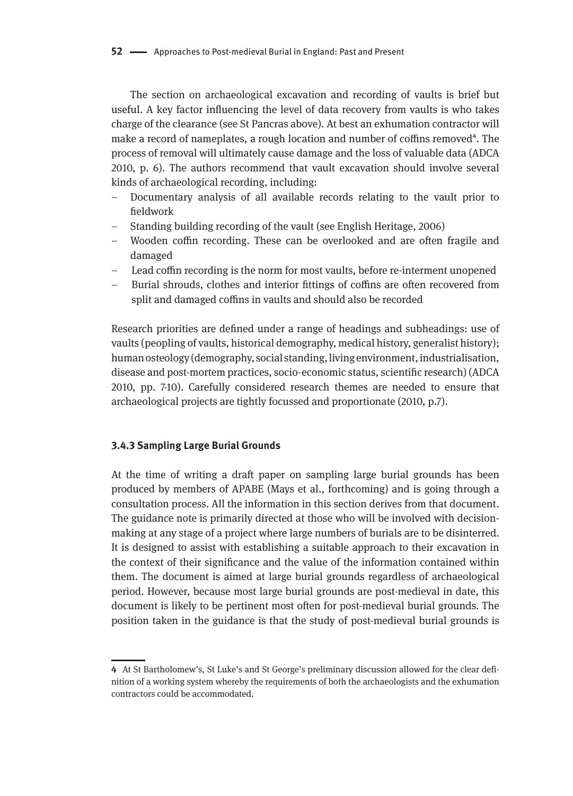The section on archaeological excavation and recording of vaults is brief but useful. A key factor influencing the level of data recovery from vaults is who takes charge of the clearance (see St Pancras above). At best an exhumation contractor will make a record of nameplates, a rough location and number of coffins removed<sup>4</sup>. The process of removal will ultimately cause damage and the loss of valuable data (ADCA 2010, p. 6). The authors recommend that vault excavation should involve several kinds of archaeological recording, including:

- Documentary analysis of all available records relating to the vault prior to fieldwork
- Standing building recording of the vault (see English Heritage, 2006)
- Wooden coffin recording. These can be overlooked and are often fragile and damaged
- Lead coffin recording is the norm for most vaults, before re-interment unopened
- Burial shrouds, clothes and interior fittings of coffins are often recovered from split and damaged coffins in vaults and should also be recorded

Research priorities are defined under a range of headings and subheadings: use of vaults (peopling of vaults, historical demography, medical history, generalist history); human osteology (demography, social standing, living environment, industrialisation, disease and post-mortem practices, socio-economic status, scientific research) (ADCA 2010, pp. 7-10). Carefully considered research themes are needed to ensure that archaeological projects are tightly focussed and proportionate (2010, p.7).

## **3.4.3 Sampling Large Burial Grounds**

At the time of writing a draft paper on sampling large burial grounds has been produced by members of APABE (Mays et al., forthcoming) and is going through a consultation process. All the information in this section derives from that document. The guidance note is primarily directed at those who will be involved with decisionmaking at any stage of a project where large numbers of burials are to be disinterred. It is designed to assist with establishing a suitable approach to their excavation in the context of their significance and the value of the information contained within them. The document is aimed at large burial grounds regardless of archaeological period. However, because most large burial grounds are post-medieval in date, this document is likely to be pertinent most often for post-medieval burial grounds. The position taken in the guidance is that the study of post-medieval burial grounds is

**<sup>4</sup>** At St Bartholomew's, St Luke's and St George's preliminary discussion allowed for the clear definition of a working system whereby the requirements of both the archaeologists and the exhumation contractors could be accommodated.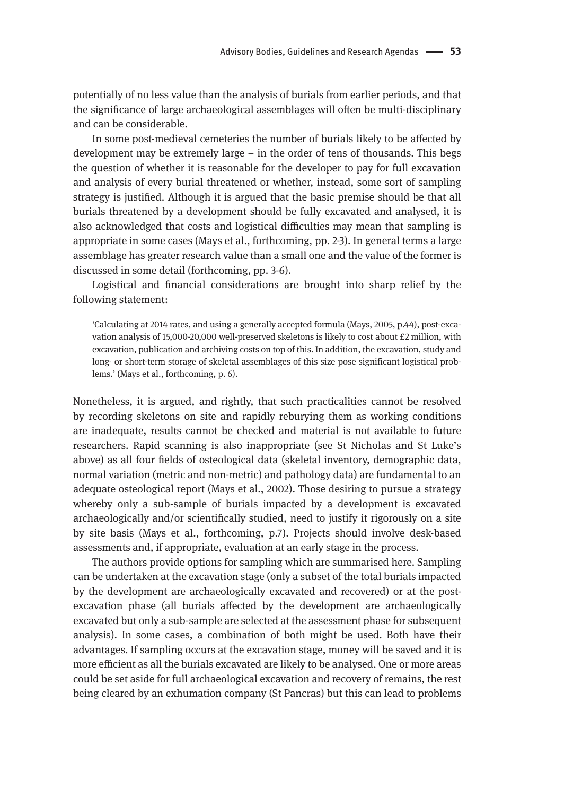potentially of no less value than the analysis of burials from earlier periods, and that the significance of large archaeological assemblages will often be multi-disciplinary and can be considerable.

In some post-medieval cemeteries the number of burials likely to be affected by development may be extremely large  $-$  in the order of tens of thousands. This begs the question of whether it is reasonable for the developer to pay for full excavation and analysis of every burial threatened or whether, instead, some sort of sampling strategy is justified. Although it is argued that the basic premise should be that all burials threatened by a development should be fully excavated and analysed, it is also acknowledged that costs and logistical difficulties may mean that sampling is appropriate in some cases (Mays et al., forthcoming, pp. 2-3). In general terms a large assemblage has greater research value than a small one and the value of the former is discussed in some detail (forthcoming, pp. 3-6).

Logistical and financial considerations are brought into sharp relief by the following statement:

'Calculating at 2014 rates, and using a generally accepted formula (Mays, 2005, p.44), post-excavation analysis of 15,000-20,000 well-preserved skeletons is likely to cost about £2 million, with excavation, publication and archiving costs on top of this. In addition, the excavation, study and long- or short-term storage of skeletal assemblages of this size pose significant logistical problems.' (Mays et al., forthcoming, p. 6).

Nonetheless, it is argued, and rightly, that such practicalities cannot be resolved by recording skeletons on site and rapidly reburying them as working conditions are inadequate, results cannot be checked and material is not available to future researchers. Rapid scanning is also inappropriate (see St Nicholas and St Luke's above) as all four fields of osteological data (skeletal inventory, demographic data, normal variation (metric and non-metric) and pathology data) are fundamental to an adequate osteological report (Mays et al., 2002). Those desiring to pursue a strategy whereby only a sub-sample of burials impacted by a development is excavated archaeologically and/or scientifically studied, need to justify it rigorously on a site by site basis (Mays et al., forthcoming, p.7). Projects should involve desk-based assessments and, if appropriate, evaluation at an early stage in the process.

The authors provide options for sampling which are summarised here. Sampling can be undertaken at the excavation stage (only a subset of the total burials impacted by the development are archaeologically excavated and recovered) or at the postexcavation phase (all burials affected by the development are archaeologically excavated but only a sub-sample are selected at the assessment phase for subsequent analysis). In some cases, a combination of both might be used. Both have their advantages. If sampling occurs at the excavation stage, money will be saved and it is more efficient as all the burials excavated are likely to be analysed. One or more areas could be set aside for full archaeological excavation and recovery of remains, the rest being cleared by an exhumation company (St Pancras) but this can lead to problems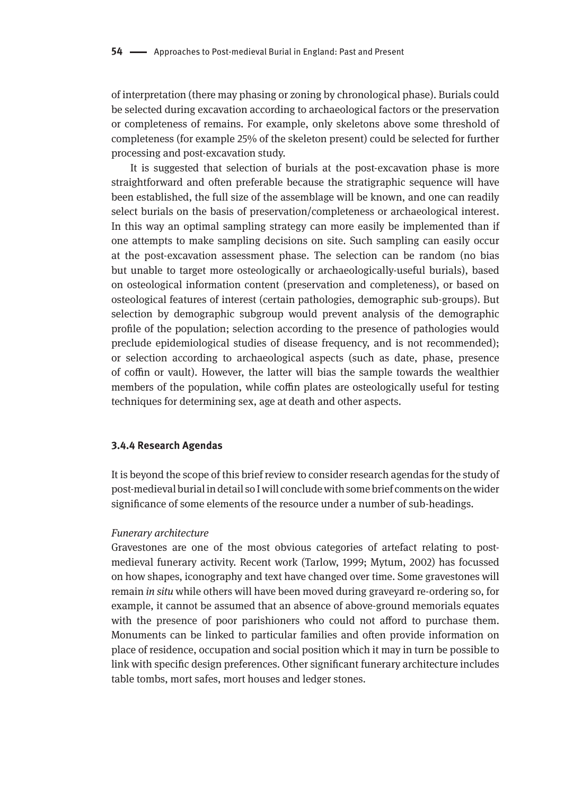of interpretation (there may phasing or zoning by chronological phase). Burials could be selected during excavation according to archaeological factors or the preservation or completeness of remains. For example, only skeletons above some threshold of completeness (for example 25% of the skeleton present) could be selected for further processing and post-excavation study.

It is suggested that selection of burials at the post-excavation phase is more straightforward and often preferable because the stratigraphic sequence will have been established, the full size of the assemblage will be known, and one can readily select burials on the basis of preservation/completeness or archaeological interest. In this way an optimal sampling strategy can more easily be implemented than if one attempts to make sampling decisions on site. Such sampling can easily occur at the post-excavation assessment phase. The selection can be random (no bias but unable to target more osteologically or archaeologically-useful burials), based on osteological information content (preservation and completeness), or based on osteological features of interest (certain pathologies, demographic sub-groups). But selection by demographic subgroup would prevent analysis of the demographic profile of the population; selection according to the presence of pathologies would preclude epidemiological studies of disease frequency, and is not recommended); or selection according to archaeological aspects (such as date, phase, presence of coffin or vault). However, the latter will bias the sample towards the wealthier members of the population, while coffin plates are osteologically useful for testing techniques for determining sex, age at death and other aspects.

#### **3.4.4 Research Agendas**

It is beyond the scope of this brief review to consider research agendas for the study of post-medieval burial in detail so I will conclude with some brief comments on the wider significance of some elements of the resource under a number of sub-headings.

#### *Funerary architecture*

Gravestones are one of the most obvious categories of artefact relating to postmedieval funerary activity. Recent work (Tarlow, 1999; Mytum, 2002) has focussed on how shapes, iconography and text have changed over time. Some gravestones will remain *in situ* while others will have been moved during graveyard re-ordering so, for example, it cannot be assumed that an absence of above-ground memorials equates with the presence of poor parishioners who could not afford to purchase them. Monuments can be linked to particular families and often provide information on place of residence, occupation and social position which it may in turn be possible to link with specific design preferences. Other significant funerary architecture includes table tombs, mort safes, mort houses and ledger stones.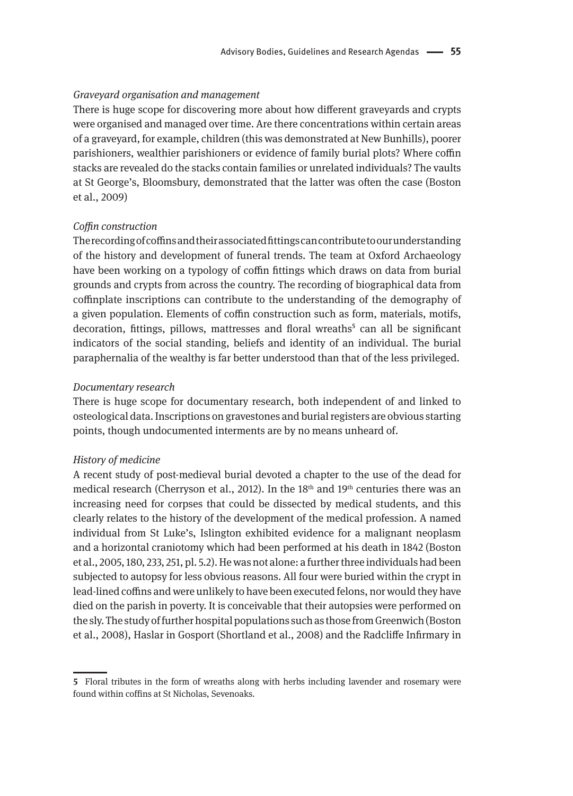## *Graveyard organisation and management*

There is huge scope for discovering more about how different graveyards and crypts were organised and managed over time. Are there concentrations within certain areas of a graveyard, for example, children (this was demonstrated at New Bunhills), poorer parishioners, wealthier parishioners or evidence of family burial plots? Where coffin stacks are revealed do the stacks contain families or unrelated individuals? The vaults at St George's, Bloomsbury, demonstrated that the latter was often the case (Boston et al., 2009)

## *Coffin construction*

The recording of coffins and their associated fittings can contribute to our understanding of the history and development of funeral trends. The team at Oxford Archaeology have been working on a typology of coffin fittings which draws on data from burial grounds and crypts from across the country. The recording of biographical data from coffinplate inscriptions can contribute to the understanding of the demography of a given population. Elements of coffin construction such as form, materials, motifs, decoration, fittings, pillows, mattresses and floral wreaths<sup>5</sup> can all be significant indicators of the social standing, beliefs and identity of an individual. The burial paraphernalia of the wealthy is far better understood than that of the less privileged.

#### *Documentary research*

There is huge scope for documentary research, both independent of and linked to osteological data. Inscriptions on gravestones and burial registers are obvious starting points, though undocumented interments are by no means unheard of.

#### *History of medicine*

A recent study of post-medieval burial devoted a chapter to the use of the dead for medical research (Cherryson et al., 2012). In the 18<sup>th</sup> and 19<sup>th</sup> centuries there was an increasing need for corpses that could be dissected by medical students, and this clearly relates to the history of the development of the medical profession. A named individual from St Luke's, Islington exhibited evidence for a malignant neoplasm and a horizontal craniotomy which had been performed at his death in 1842 (Boston et al., 2005, 180, 233, 251, pl. 5.2). He was not alone: a further three individuals had been subjected to autopsy for less obvious reasons. All four were buried within the crypt in lead-lined coffins and were unlikely to have been executed felons, nor would they have died on the parish in poverty. It is conceivable that their autopsies were performed on the sly. The study of further hospital populations such as those from Greenwich (Boston et al., 2008), Haslar in Gosport (Shortland et al., 2008) and the Radcliffe Infirmary in

**<sup>5</sup>** Floral tributes in the form of wreaths along with herbs including lavender and rosemary were found within coffins at St Nicholas, Sevenoaks.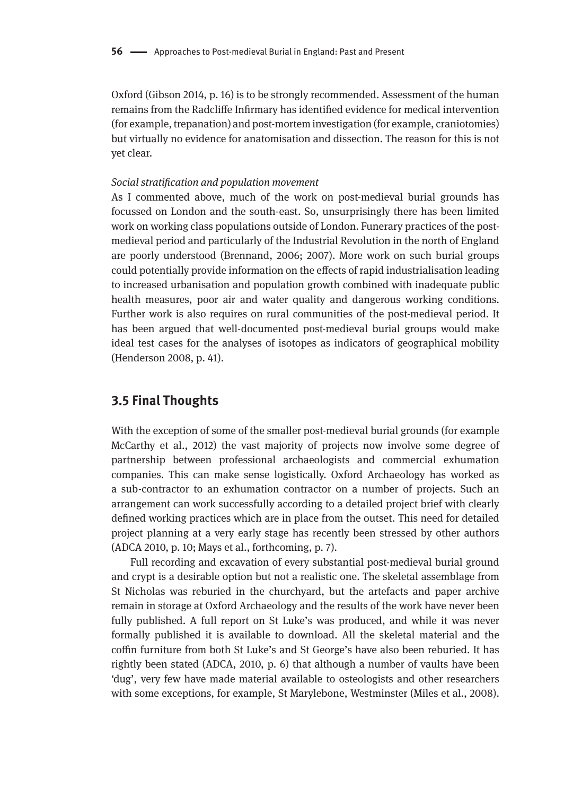Oxford (Gibson 2014, p. 16) is to be strongly recommended. Assessment of the human remains from the Radcliffe Infirmary has identified evidence for medical intervention (for example, trepanation) and post-mortem investigation (for example, craniotomies) but virtually no evidence for anatomisation and dissection. The reason for this is not yet clear.

## *Social stratification and population movement*

As I commented above, much of the work on post-medieval burial grounds has focussed on London and the south-east. So, unsurprisingly there has been limited work on working class populations outside of London. Funerary practices of the postmedieval period and particularly of the Industrial Revolution in the north of England are poorly understood (Brennand, 2006; 2007). More work on such burial groups could potentially provide information on the effects of rapid industrialisation leading to increased urbanisation and population growth combined with inadequate public health measures, poor air and water quality and dangerous working conditions. Further work is also requires on rural communities of the post-medieval period. It has been argued that well-documented post-medieval burial groups would make ideal test cases for the analyses of isotopes as indicators of geographical mobility (Henderson 2008, p. 41).

# **3.5 Final Thoughts**

With the exception of some of the smaller post-medieval burial grounds (for example McCarthy et al., 2012) the vast majority of projects now involve some degree of partnership between professional archaeologists and commercial exhumation companies. This can make sense logistically. Oxford Archaeology has worked as a sub-contractor to an exhumation contractor on a number of projects. Such an arrangement can work successfully according to a detailed project brief with clearly defined working practices which are in place from the outset. This need for detailed project planning at a very early stage has recently been stressed by other authors (ADCA 2010, p. 10; Mays et al., forthcoming, p. 7).

Full recording and excavation of every substantial post-medieval burial ground and crypt is a desirable option but not a realistic one. The skeletal assemblage from St Nicholas was reburied in the churchyard, but the artefacts and paper archive remain in storage at Oxford Archaeology and the results of the work have never been fully published. A full report on St Luke's was produced, and while it was never formally published it is available to download. All the skeletal material and the coffin furniture from both St Luke's and St George's have also been reburied. It has rightly been stated (ADCA, 2010, p. 6) that although a number of vaults have been 'dug', very few have made material available to osteologists and other researchers with some exceptions, for example, St Marylebone, Westminster (Miles et al., 2008).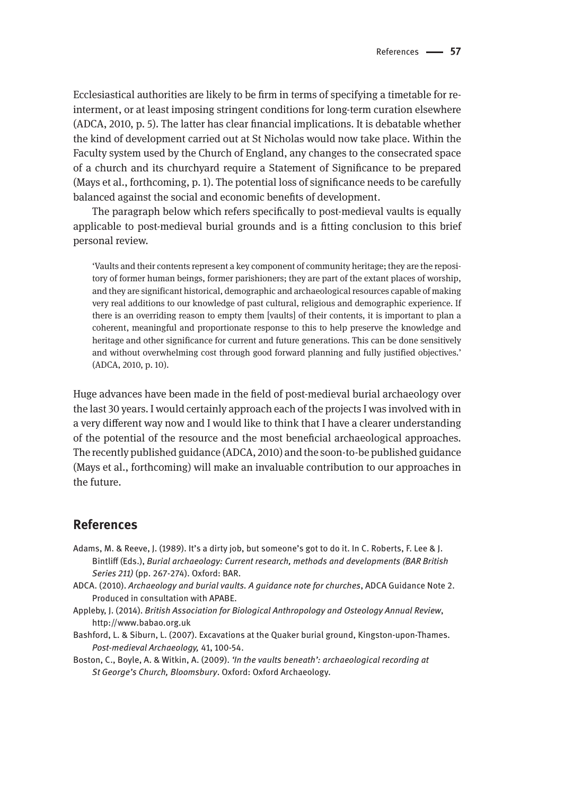Ecclesiastical authorities are likely to be firm in terms of specifying a timetable for reinterment, or at least imposing stringent conditions for long-term curation elsewhere (ADCA, 2010, p. 5). The latter has clear financial implications. It is debatable whether the kind of development carried out at St Nicholas would now take place. Within the Faculty system used by the Church of England, any changes to the consecrated space of a church and its churchyard require a Statement of Significance to be prepared (Mays et al., forthcoming, p. 1). The potential loss of significance needs to be carefully balanced against the social and economic benefits of development.

The paragraph below which refers specifically to post-medieval vaults is equally applicable to post-medieval burial grounds and is a fitting conclusion to this brief personal review.

'Vaults and their contents represent a key component of community heritage; they are the repository of former human beings, former parishioners; they are part of the extant places of worship, and they are significant historical, demographic and archaeological resources capable of making very real additions to our knowledge of past cultural, religious and demographic experience. If there is an overriding reason to empty them [vaults] of their contents, it is important to plan a coherent, meaningful and proportionate response to this to help preserve the knowledge and heritage and other significance for current and future generations. This can be done sensitively and without overwhelming cost through good forward planning and fully justified objectives.' (ADCA, 2010, p. 10).

Huge advances have been made in the field of post-medieval burial archaeology over the last 30 years. I would certainly approach each of the projects I was involved with in a very different way now and I would like to think that I have a clearer understanding of the potential of the resource and the most beneficial archaeological approaches. The recently published guidance (ADCA, 2010) and the soon-to-be published guidance (Mays et al., forthcoming) will make an invaluable contribution to our approaches in the future.

# **References**

- Adams, M. & Reeve, J. (1989). It's a dirty job, but someone's got to do it. In C. Roberts, F. Lee & J. Bintliff (Eds.), *Burial archaeology: Current research, methods and developments (BAR British Series 211)* (pp. 267-274). Oxford: BAR.
- ADCA. (2010). *Archaeology and burial vaults. A guidance note for churches*, ADCA Guidance Note 2. Produced in consultation with APABE.
- Appleby, J. (2014). *British Association for Biological Anthropology and Osteology Annual Review*, http://www.babao.org.uk
- Bashford, L. & Siburn, L. (2007). Excavations at the Quaker burial ground, Kingston-upon-Thames. *Post-medieval Archaeology,* 41, 100-54.
- Boston, C., Boyle, A. & Witkin, A. (2009). *'In the vaults beneath': archaeological recording at St George's Church, Bloomsbury*. Oxford: Oxford Archaeology.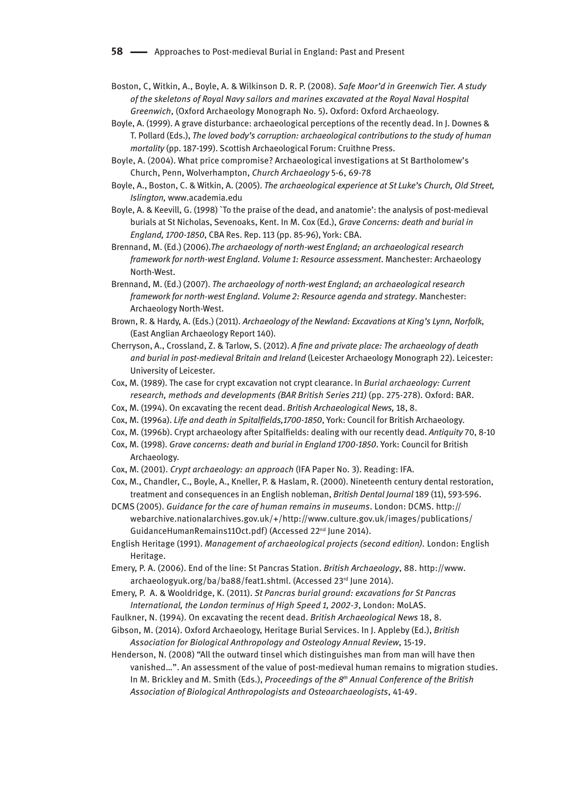Boston, C, Witkin, A., Boyle, A. & Wilkinson D. R. P. (2008). *Safe Moor'd in Greenwich Tier. A study of the skeletons of Royal Navy sailors and marines excavated at the Royal Naval Hospital Greenwich*, (Oxford Archaeology Monograph No. 5)**.** Oxford: Oxford Archaeology.

- Boyle, A. (1999). A grave disturbance: archaeological perceptions of the recently dead. In J. Downes & T. Pollard (Eds.), *The loved body's corruption: archaeological contributions to the study of human mortality* (pp. 187-199). Scottish Archaeological Forum: Cruithne Press.
- Boyle, A. (2004). What price compromise? Archaeological investigations at St Bartholomew's Church, Penn, Wolverhampton, *Church Archaeology* 5-6, 69-78
- Boyle, A., Boston, C. & Witkin, A. (2005). *The archaeological experience at St Luke's Church, Old Street, Islington,* www.academia.edu
- Boyle, A. & Keevill, G. (1998) `To the praise of the dead, and anatomie': the analysis of post-medieval burials at St Nicholas, Sevenoaks, Kent. In M. Cox (Ed.), *Grave Concerns: death and burial in England, 1700-1850*, CBA Res. Rep. 113 (pp. 85-96), York: CBA.
- Brennand, M. (Ed.) (2006).*The archaeology of north-west England; an archaeological research framework for north-west England. Volume 1: Resource assessment*. Manchester: Archaeology North-West.
- Brennand, M. (Ed.) (2007). *The archaeology of north-west England; an archaeological research framework for north-west England. Volume 2: Resource agenda and strategy*. Manchester: Archaeology North-West.
- Brown, R. & Hardy, A. (Eds.) (2011). *Archaeology of the Newland: Excavations at King's Lynn, Norfolk*, (East Anglian Archaeology Report 140).
- Cherryson, A., Crossland, Z. & Tarlow, S. (2012). *A fine and private place: The archaeology of death and burial in post-medieval Britain and Ireland* (Leicester Archaeology Monograph 22). Leicester: University of Leicester.
- Cox, M. (1989). The case for crypt excavation not crypt clearance. In *Burial archaeology: Current research, methods and developments (BAR British Series 211)* (pp. 275-278). Oxford: BAR.
- Cox, M. (1994). On excavating the recent dead. *British Archaeological News,* 18, 8.
- Cox, M. (1996a). *Life and death in Spitalfields,1700-1850*, York: Council for British Archaeology.
- Cox, M. (1996b). Crypt archaeology after Spitalfields: dealing with our recently dead. *Antiquity* 70, 8-10
- Cox, M. (1998). *Grave concerns: death and burial in England 1700-1850*. York: Council for British Archaeology.
- Cox, M. (2001). *Crypt archaeology: an approach* (IFA Paper No. 3). Reading: IFA.
- Cox, M., Chandler, C., Boyle, A., Kneller, P. & Haslam, R. (2000). Nineteenth century dental restoration, treatment and consequences in an English nobleman, *British Dental Journal* 189 (11), 593-596.
- DCMS (2005). *Guidance for the care of human remains in museums*. London: DCMS. http:// webarchive.nationalarchives.gov.uk/+/http://www.culture.gov.uk/images/publications/ GuidanceHumanRemains11Oct.pdf) (Accessed 22nd June 2014).
- English Heritage (1991). *Management of archaeological projects (second edition).* London: English Heritage.
- Emery, P. A. (2006). End of the line: St Pancras Station. *British Archaeology*, 88. http://www. archaeologyuk.org/ba/ba88/feat1.shtml. (Accessed 23rd June 2014).
- Emery, P. A. & Wooldridge, K. (2011). *St Pancras burial ground: excavations for St Pancras International, the London terminus of High Speed 1, 2002-3*, London: MoLAS.
- Faulkner, N. (1994). On excavating the recent dead. *British Archaeological News* 18, 8.

Gibson, M. (2014). Oxford Archaeology, Heritage Burial Services. In J. Appleby (Ed.), *British Association for Biological Anthropology and Osteology Annual Review*, 15-19.

Henderson, N. (2008) "All the outward tinsel which distinguishes man from man will have then vanished…". An assessment of the value of post-medieval human remains to migration studies. In M. Brickley and M. Smith (Eds.), *Proceedings of the 8th Annual Conference of the British Association of Biological Anthropologists and Osteoarchaeologists*, 41-49.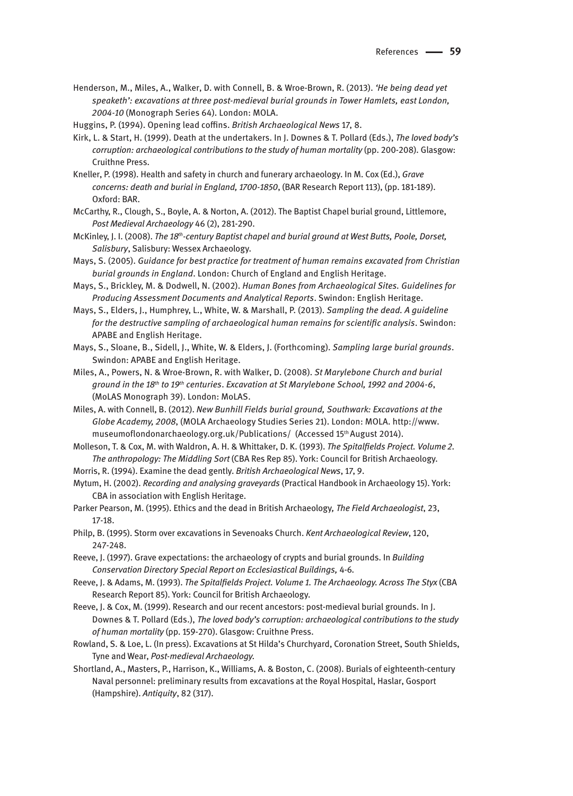Henderson, M., Miles, A., Walker, D. with Connell, B. & Wroe-Brown, R. (2013). *'He being dead yet speaketh': excavations at three post-medieval burial grounds in Tower Hamlets, east London, 2004-10* (Monograph Series 64). London: MOLA.

Huggins, P. (1994). Opening lead coffins. *British Archaeological News* 17, 8.

- Kirk, L. & Start, H. (1999). Death at the undertakers. In J. Downes & T. Pollard (Eds.), *The loved body's corruption: archaeological contributions to the study of human mortality* (pp. 200-208). Glasgow: Cruithne Press.
- Kneller, P. (1998). Health and safety in church and funerary archaeology. In M. Cox (Ed.), *Grave concerns: death and burial in England, 1700-1850*, (BAR Research Report 113), (pp. 181-189). Oxford: BAR.
- McCarthy, R., Clough, S., Boyle, A. & Norton, A. (2012). The Baptist Chapel burial ground, Littlemore, *Post Medieval Archaeology* 46 (2), 281-290.
- McKinley, J. I. (2008). *The 18th-century Baptist chapel and burial ground at West Butts, Poole, Dorset, Salisbury*, Salisbury: Wessex Archaeology.
- Mays, S. (2005). *Guidance for best practice for treatment of human remains excavated from Christian burial grounds in England*. London: Church of England and English Heritage.
- Mays, S., Brickley, M. & Dodwell, N. (2002). *Human Bones from Archaeological Sites. Guidelines for Producing Assessment Documents and Analytical Reports*. Swindon: English Heritage.
- Mays, S., Elders, J., Humphrey, L., White, W. & Marshall, P. (2013). *Sampling the dead. A guideline for the destructive sampling of archaeological human remains for scientific analysis*. Swindon: APABE and English Heritage.
- Mays, S., Sloane, B., Sidell, J., White, W. & Elders, J. (Forthcoming). *Sampling large burial grounds*. Swindon: APABE and English Heritage.
- Miles, A., Powers, N. & Wroe-Brown, R. with Walker, D. (2008). *St Marylebone Church and burial ground in the 18th to 19th centuries*. *Excavation at St Marylebone School, 1992 and 2004-6*, (MoLAS Monograph 39). London: MoLAS.
- Miles, A. with Connell, B. (2012). *New Bunhill Fields burial ground, Southwark: Excavations at the Globe Academy, 2008*, (MOLA Archaeology Studies Series 21). London: MOLA. http://www. museumoflondonarchaeology.org.uk/Publications/ (Accessed 15th August 2014).
- Molleson, T. & Cox, M. with Waldron, A. H. & Whittaker, D. K. (1993). *The Spitalfields Project. Volume 2. The anthropology: The Middling Sort* (CBA Res Rep 85). York: Council for British Archaeology.
- Morris, R. (1994). Examine the dead gently. *British Archaeological News*, 17, 9.
- Mytum, H. (2002). *Recording and analysing graveyards* (Practical Handbook in Archaeology 15). York: CBA in association with English Heritage.
- Parker Pearson, M. (1995). Ethics and the dead in British Archaeology*, The Field Archaeologist*, 23, 17-18.
- Philp, B. (1995). Storm over excavations in Sevenoaks Church. *Kent Archaeological Review*, 120, 247-248.
- Reeve, J. (1997). Grave expectations: the archaeology of crypts and burial grounds. In *Building Conservation Directory Special Report on Ecclesiastical Buildings,* 4-6*.*
- Reeve, J. & Adams, M. (1993). *The Spitalfields Project. Volume 1. The Archaeology. Across The Styx* (CBA Research Report 85). York: Council for British Archaeology.
- Reeve, J. & Cox, M. (1999). Research and our recent ancestors: post-medieval burial grounds. In J. Downes & T. Pollard (Eds.), *The loved body's corruption: archaeological contributions to the study of human mortality* (pp. 159-270). Glasgow: Cruithne Press.
- Rowland, S. & Loe, L. (In press). Excavations at St Hilda's Churchyard, Coronation Street, South Shields, Tyne and Wear, *Post-medieval Archaeology.*
- Shortland, A., Masters, P., Harrison, K., Williams, A. & Boston, C. (2008). Burials of eighteenth-century Naval personnel: preliminary results from excavations at the Royal Hospital, Haslar, Gosport (Hampshire). *Antiquity*, 82 (317).